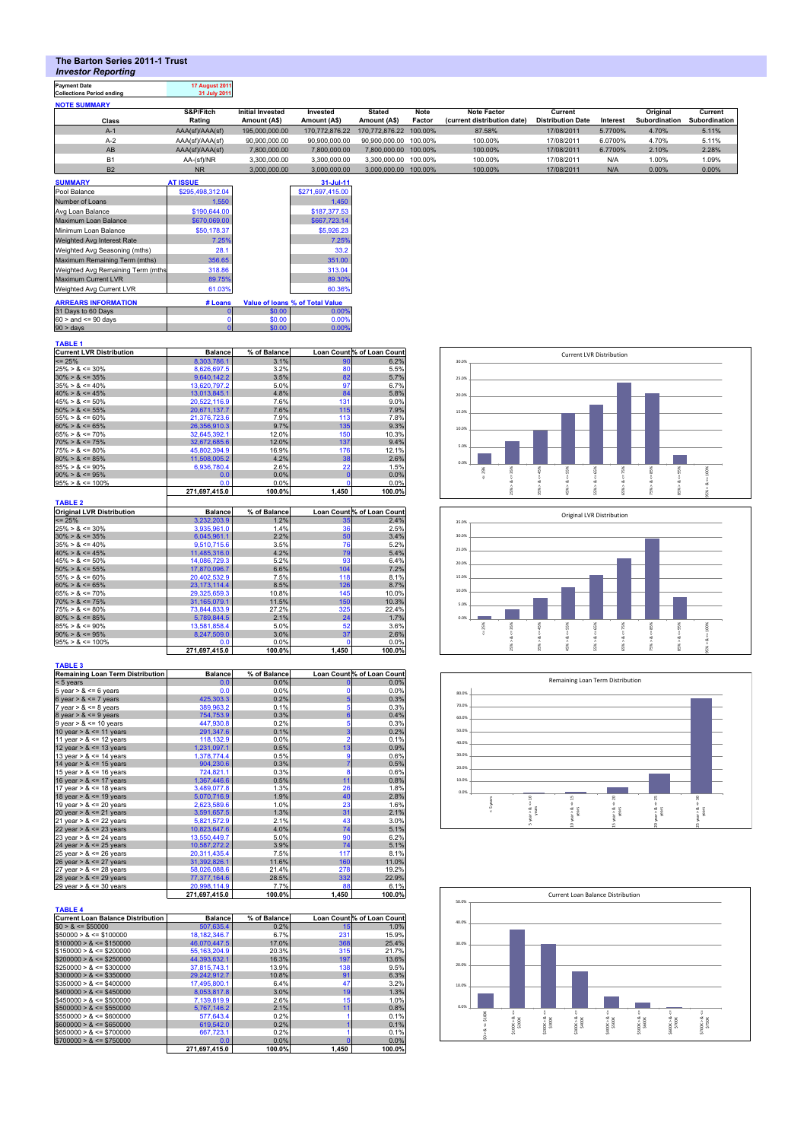# **The Barton Series 2011-1 Trust**

*Investor Reporting*

# **Payment Date 17 August 2011 Collections Period ending 31 July 2011**

| <b>NOTE SUMMARY</b> |                 |                         |                |                        |         |                             |                          |          |               |               |
|---------------------|-----------------|-------------------------|----------------|------------------------|---------|-----------------------------|--------------------------|----------|---------------|---------------|
|                     | S&P/Fitch       | <b>Initial Invested</b> | Invested       | Stated                 | Note    | Note Factor                 | Current                  |          | Original      | Current       |
| Class               | Rating          | Amount (A\$)            | Amount (A\$)   | Amount (A\$)           | Factor  | (current distribution date) | <b>Distribution Date</b> | Interest | Subordination | Subordination |
| $A-1$               | AAA(sf)/AAA(sf) | 195.000.000.00          | 170.772.876.22 | 170.772.876.22 100.00% |         | 87.58%                      | 17/08/2011               | 5.7700%  | 4.70%         | 5.11%         |
| $A-2$               | AAA(sf)/AAA(sf) | 90.900.000.00           | 90.900.000.00  | 90.900.000.00          | 100.00% | 100.00%                     | 17/08/2011               | 6.0700%  | 4.70%         | 5.11%         |
| AB                  | AAA(sf)/AAA(sf) | 7.800.000.00            | 7.800.000.00   | 7.800.000.00 100.00%   |         | 100.00%                     | 17/08/2011               | 6.7700%  | 2.10%         | 2.28%         |
| <b>B1</b>           | AA-(sf)/NR      | 3.300.000.00            | 3.300.000.00   | 3.300.000.00           | 100.00% | 100.00%                     | 17/08/2011               | N/A      | 1.00%         | 1.09%         |
| <b>B2</b>           | <b>NR</b>       | 3.000.000.00            | 3.000.000.00   | 3.000.000.00           | 100.00% | 100.00%                     | 17/08/2011               | N/A      | 0.00%         | 0.00%         |

| <b>SUMMARY</b>                    | <b>AT ISSUE</b>  |        | $31$ -Jul-11                           |
|-----------------------------------|------------------|--------|----------------------------------------|
| Pool Balance                      | \$295,498,312.04 |        | \$271,697,415.00                       |
| Number of Loans                   | 1.550            |        | 1.450                                  |
| Avg Loan Balance                  | \$190,644.00     |        | \$187,377.53                           |
| Maximum Loan Balance              | \$670,069.00     |        | \$667,723.14                           |
| Minimum Loan Balance              | \$50,178.37      |        | \$5,926.23                             |
| Weighted Avg Interest Rate        | 7.25%            |        | 7.25%                                  |
| Weighted Avg Seasoning (mths)     | 28.1             |        | 33.2                                   |
| Maximum Remaining Term (mths)     | 356.65           |        | 351.00                                 |
| Weighted Avg Remaining Term (mths | 318.86           |        | 313.04                                 |
| <b>Maximum Current LVR</b>        | 89.75%           |        | 89.30%                                 |
| Weighted Avg Current LVR          | 61.03%           |        | 60.36%                                 |
| <b>ARREARS INFORMATION</b>        | # Loans          |        | <b>Value of loans % of Total Value</b> |
| 31 Days to 60 Days                | O                | \$0.00 | 0.00%                                  |
| $60 >$ and $\leq 90$ days         |                  | \$0.00 | 0.00%                                  |
| 90 > days                         |                  | \$0.00 | 0.00%                                  |

### **TABLE 1**

| <b>Current LVR Distribution</b> | <b>Balance</b> | % of Balance |              | Loan Count % of Loan Count |
|---------------------------------|----------------|--------------|--------------|----------------------------|
| $\leq$ 25%                      | 8.303.786.1    | 3.1%         | 90           | 6.2%                       |
| $25\% > 8 \le 30\%$             | 8.626.697.5    | 3.2%         | 80           | 5.5%                       |
| $30\% > 8 \le 35\%$             | 9.640.142.2    | 3.5%         | 82           | 5.7%                       |
| $35\% > 8 \le 40\%$             | 13,620,797.2   | 5.0%         | 97           | 6.7%                       |
| $40\% > 8 \le 45\%$             | 13.013.845.1   | 4.8%         | 84           | 5.8%                       |
| $45\% > 8 \le 50\%$             | 20.522.116.9   | 7.6%         | 131          | 9.0%                       |
| $50\% > 8 \le 55\%$             | 20.671.137.7   | 7.6%         | 115          | 7.9%                       |
| $155\% > 8 \le 60\%$            | 21.376.723.6   | 7.9%         | 113          | 7.8%                       |
| $60\% > 8 \le 65\%$             | 26.356.910.3   | 9.7%         | 135          | 9.3%                       |
| $65\% > 8 \le 70\%$             | 32.645.392.1   | 12.0%        | 150          | 10.3%                      |
| $70\% > 8 \le 75\%$             | 32.672.685.6   | 12.0%        | 137          | 9.4%                       |
| $75\% > 8 \le 80\%$             | 45,802,394.9   | 16.9%        | 176          | 12.1%                      |
| $80\% > 8 \le 85\%$             | 11.508.005.2   | 4.2%         | 38           | 2.6%                       |
| $85\% > 8 \le 90\%$             | 6,936,780.4    | 2.6%         | 22           | 1.5%                       |
| $90\% > 8 \le 95\%$             | 0.0            | 0.0%         | $\mathbf{0}$ | 0.0%                       |
| $95\% > 8 \le 100\%$            | 0.0            | 0.0%         | n            | 0.0%                       |
|                                 | 271.697.415.0  | 100.0%       | 1.450        | 100.0%                     |

| TABLE 2                          |                |              |                 |                            |
|----------------------------------|----------------|--------------|-----------------|----------------------------|
| <b>Original LVR Distribution</b> | <b>Balance</b> | % of Balance |                 | Loan Count % of Loan Count |
| $\leq$ 25%                       | 3.232.203.9    | 1.2%         | 35 <sub>1</sub> | 2.4%                       |
| $25\% > 8 \le 30\%$              | 3.935.961.0    | 1.4%         | 36              | 2.5%                       |
| $30\% > 8 \le 35\%$              | 6.045.961.1    | 2.2%         | 50              | 3.4%                       |
| $35\% > 8 \le 40\%$              | 9.510.715.6    | 3.5%         | 76              | 5.2%                       |
| $40\% > 8 \le 45\%$              | 11.485.316.0   | 4.2%         | 79              | 5.4%                       |
| $45\% > 8 \le 50\%$              | 14.086.729.3   | 5.2%         | 93              | 6.4%                       |
| $50\% > 8 \le 55\%$              | 17.870.096.7   | 6.6%         | 104             | 7.2%                       |
| $55\% > 8 \le 60\%$              | 20,402,532.9   | 7.5%         | 118             | 8.1%                       |
| $60\% > 8 \le 65\%$              | 23.173.114.4   | 8.5%         | 126             | 8.7%                       |
| $65\% > 8 \le 70\%$              | 29,325,659.3   | 10.8%        | 145             | 10.0%                      |
| $70\% > 8 \le 75\%$              | 31,165,079.1   | 11.5%        | 150             | 10.3%                      |
| $75\% > 8 \le 80\%$              | 73,844,833.9   | 27.2%        | 325             | 22.4%                      |
| $80\% > 8 \le 85\%$              | 5.789.844.5    | 2.1%         | 24              | 1.7%                       |
| $85\% > 8 \le 90\%$              | 13,581,858.4   | 5.0%         | 52              | 3.6%                       |
| $90\% > 8 \le 95\%$              | 8.247.509.0    | 3.0%         | 37              | 2.6%                       |
| $95\% > 8 \le 100\%$             | 0.0            | 0.0%         |                 | 0.0%                       |
|                                  | 271.697.415.0  | 100.0%       | 1,450           | 100.0%                     |

| <b>TABLE 3</b>                          |                |              |                 |                            |
|-----------------------------------------|----------------|--------------|-----------------|----------------------------|
| <b>Remaining Loan Term Distribution</b> | <b>Balance</b> | % of Balance |                 | Loan Count % of Loan Count |
| $< 5$ years                             | 0.0            | 0.0%         | $\mathbf{0}$    | 0.0%                       |
| 5 year $> 8 \le 6$ years                | 0.0            | 0.0%         | $\mathbf 0$     | 0.0%                       |
| 6 year $> 8 \le 7$ years                | 425,303.3      | 0.2%         | 5               | 0.3%                       |
| 7 year $> 8 \le 8$ years                | 389,963.2      | 0.1%         | 5               | 0.3%                       |
| 8 year > $8 \le 9$ years                | 754,753.9      | 0.3%         | $6\overline{6}$ | 0.4%                       |
| $9$ year > $8 \le 10$ years             | 447,930.8      | 0.2%         | 5               | 0.3%                       |
| 10 year $> 8 \le 11$ years              | 291,347.6      | 0.1%         | 3               | 0.2%                       |
| 11 year $> 8 \le 12$ years              | 118,132.9      | 0.0%         | $\overline{2}$  | 0.1%                       |
| 12 year $> 8 \le 13$ years              | 1,231,097.1    | 0.5%         | 13              | 0.9%                       |
| 13 year $> 8 \le 14$ years              | 1,378,774.4    | 0.5%         | 9               | 0.6%                       |
| 14 year $> 8 \le 15$ years              | 904,230.6      | 0.3%         | $\overline{7}$  | 0.5%                       |
| 15 year $> 8 \le 16$ years              | 724,821.1      | 0.3%         | 8               | 0.6%                       |
| 16 year $> 8 \le 17$ years              | 1,367,446.6    | 0.5%         | 11              | 0.8%                       |
| 17 year $> 8 \le 18$ years              | 3.489.077.8    | 1.3%         | 26              | 1.8%                       |
| 18 year $> 8 \le 19$ years              | 5,070,716.9    | 1.9%         | 40              | 2.8%                       |
| 19 year $> 8 \le 20$ years              | 2,623,589.6    | 1.0%         | 23              | 1.6%                       |
| 20 year $> 8 \le 21$ years              | 3,591,657.5    | 1.3%         | 31              | 2.1%                       |
| 21 year $> 8 \le 22$ years              | 5,821,572.9    | 2.1%         | 43              | 3.0%                       |
| 22 year $> 8 \le 23$ years              | 10,823,647.6   | 4.0%         | 74              | 5.1%                       |
| 23 year $> 8 \le 24$ years              | 13,550,449.7   | 5.0%         | 90              | 6.2%                       |
| 24 year $> 8 \le 25$ years              | 10,587,272.2   | 3.9%         | 74              | 5.1%                       |
| 25 year $> 8 \le 26$ years              | 20,311,435.4   | 7.5%         | 117             | 8.1%                       |
| 26 year $> 8 \le 27$ years              | 31,392,826.1   | 11.6%        | 160             | 11.0%                      |
| 27 year $> 8 \le 28$ years              | 58,026,088.6   | 21.4%        | 278             | 19.2%                      |
| 28 year $> 8 \le 29$ years              | 77,377,164.6   | 28.5%        | 332             | 22.9%                      |
| 29 year $> 8 \le 30$ years              | 20,998,114.9   | 7.7%         | 88              | 6.1%                       |
|                                         | 271,697,415.0  | 100.0%       | 1,450           | 100.0%                     |

| <b>Current Loan Balance Distribution</b> | <b>Balance</b> | % of Balance |       | Loan Count % of Loan Count |
|------------------------------------------|----------------|--------------|-------|----------------------------|
| $$0 > 8 \leq $50000$                     | 507.635.4      | 0.2%         | 15    | 1.0%                       |
| $$50000 > 8 \le $100000$                 | 18.182.346.7   | 6.7%         | 231   | 15.9%                      |
| $$100000 > 8 \leq $150000$               | 46.070.447.5   | 17.0%        | 368   | 25.4%                      |
| $$150000 > 8 \leq $200000$               | 55.163.204.9   | 20.3%        | 315   | 21.7%                      |
| $$200000 > 8 \leq $250000$               | 44.393.632.1   | 16.3%        | 197   | 13.6%                      |
| $$250000 > 8 \leq $300000$               | 37.815.743.1   | 13.9%        | 138   | 9.5%                       |
| $$300000 > 8 \leq $350000$               | 29.242.912.7   | 10.8%        | 91    | 6.3%                       |
| $$350000 > 8 \leq $400000$               | 17.495.800.1   | 6.4%         | 47    | 3.2%                       |
| $$400000 > 8 \leq $450000$               | 8.053.817.8    | 3.0%         | 19    | 1.3%                       |
| $$450000 > 8 \leq $500000$               | 7.139.819.9    | 2.6%         | 15    | 1.0%                       |
| $$500000 > 8 \leq $550000$               | 5.767.146.2    | 2.1%         | 11    | 0.8%                       |
| $$550000 > 8 \leq $600000$               | 577.643.4      | 0.2%         |       | 0.1%                       |
| $$600000 > 8 \leq $650000$               | 619.542.0      | 0.2%         |       | 0.1%                       |
| $$650000 > 8 \leq $700000$               | 667.723.1      | 0.2%         |       | 0.1%                       |
| $$700000 > 8 \leq $750000$               | 0.0            | 0.0%         |       | 0.0%                       |
|                                          | 271.697.415.0  | 100.0%       | 1,450 | 100.0%                     |